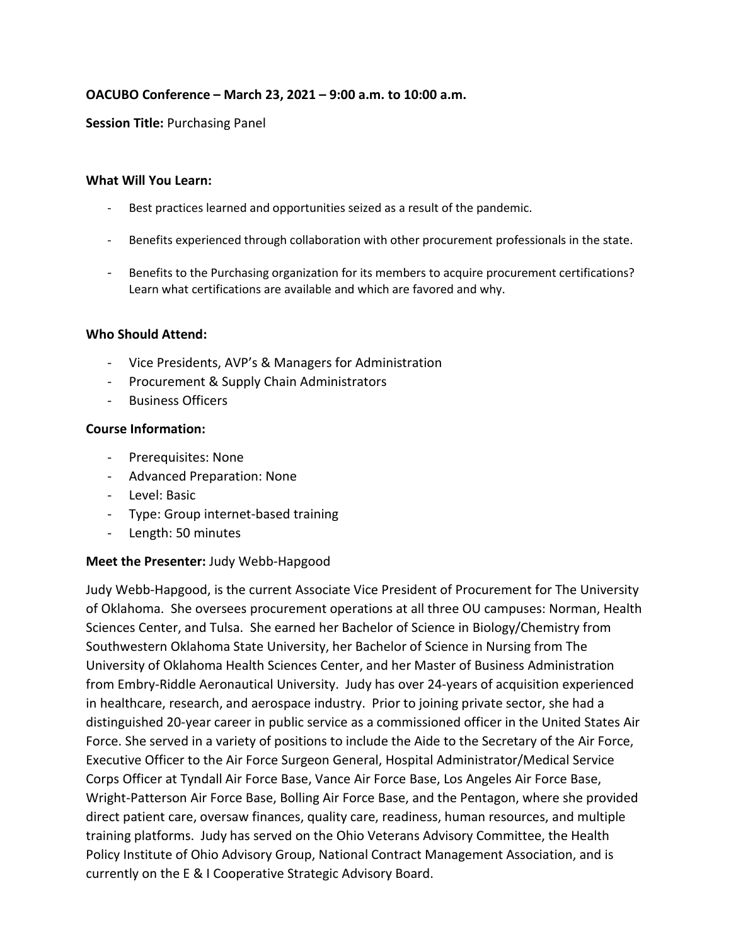## **OACUBO Conference – March 23, 2021 – 9:00 a.m. to 10:00 a.m.**

### **Session Title:** Purchasing Panel

#### **What Will You Learn:**

- Best practices learned and opportunities seized as a result of the pandemic.
- Benefits experienced through collaboration with other procurement professionals in the state.
- Benefits to the Purchasing organization for its members to acquire procurement certifications? Learn what certifications are available and which are favored and why.

## **Who Should Attend:**

- Vice Presidents, AVP's & Managers for Administration
- Procurement & Supply Chain Administrators
- Business Officers

#### **Course Information:**

- Prerequisites: None
- Advanced Preparation: None
- Level: Basic
- Type: Group internet-based training
- Length: 50 minutes

## **Meet the Presenter:** Judy Webb-Hapgood

Judy Webb-Hapgood, is the current Associate Vice President of Procurement for The University of Oklahoma. She oversees procurement operations at all three OU campuses: Norman, Health Sciences Center, and Tulsa. She earned her Bachelor of Science in Biology/Chemistry from Southwestern Oklahoma State University, her Bachelor of Science in Nursing from The University of Oklahoma Health Sciences Center, and her Master of Business Administration from Embry-Riddle Aeronautical University. Judy has over 24-years of acquisition experienced in healthcare, research, and aerospace industry. Prior to joining private sector, she had a distinguished 20-year career in public service as a commissioned officer in the United States Air Force. She served in a variety of positions to include the Aide to the Secretary of the Air Force, Executive Officer to the Air Force Surgeon General, Hospital Administrator/Medical Service Corps Officer at Tyndall Air Force Base, Vance Air Force Base, Los Angeles Air Force Base, Wright-Patterson Air Force Base, Bolling Air Force Base, and the Pentagon, where she provided direct patient care, oversaw finances, quality care, readiness, human resources, and multiple training platforms. Judy has served on the Ohio Veterans Advisory Committee, the Health Policy Institute of Ohio Advisory Group, National Contract Management Association, and is currently on the E & I Cooperative Strategic Advisory Board.